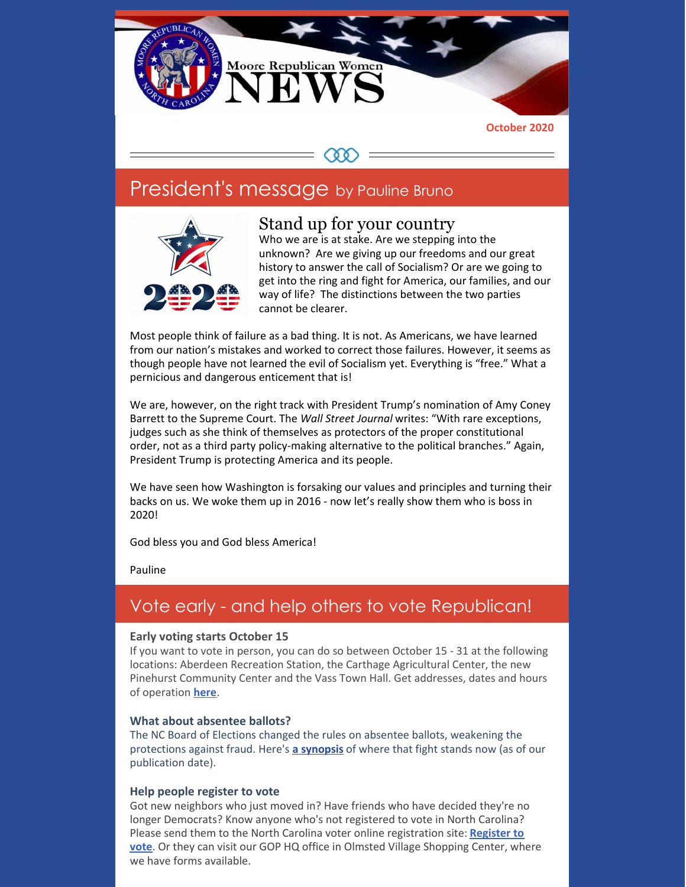

### COO

## President's message by Pauline Bruno



### Stand up for your country

Who we are is at stake. Are we stepping into the unknown? Are we giving up our freedoms and our great history to answer the call of Socialism? Or are we going to get into the ring and fight for America, our families, and our way of life? The distinctions between the two parties cannot be clearer.

Most people think of failure as a bad thing. It is not. As Americans, we have learned from our nation's mistakes and worked to correct those failures. However, it seems as though people have not learned the evil of Socialism yet. Everything is "free." What a pernicious and dangerous enticement that is!

We are, however, on the right track with President Trump's nomination of Amy Coney Barrett to the Supreme Court. The *Wall Street Journal* writes: "With rare exceptions, judges such as she think of themselves as protectors of the proper constitutional order, not as a third party policy-making alternative to the political branches." Again, President Trump is protecting America and its people.

We have seen how Washington is forsaking our values and principles and turning their backs on us. We woke them up in 2016 - now let's really show them who is boss in 2020!

God bless you and God bless America!

Pauline

### Vote early - and help others to vote Republican!

#### **Early voting starts October 15**

If you want to vote in person, you can do so between October 15 - 31 at the following locations: Aberdeen Recreation Station, the Carthage Agricultural Center, the new Pinehurst Community Center and the Vass Town Hall. Get addresses, dates and hours of operation **[here](https://d3n8a8pro7vhmx.cloudfront.net/district8ncgop/pages/1056/attachments/original/1599419590/OS_SITE_INFO_Address_Mod.pdf?1599419590)**.

#### **What about absentee ballots?**

The NC Board of Elections changed the rules on absentee ballots, weakening the protections against fraud. Here's **a [synopsis](https://www.carolinajournal.com/news-article/federal-lawsuits-say-state-elections-board-denied-voters-civil-rights/)** of where that fight stands now (as of our publication date).

#### **Help people register to vote**

Got new neighbors who just moved in? Have friends who have decided they're no longer Democrats? Know anyone who's not registered to vote in North Carolina? Please send them to the North Carolina voter online [registration](https://s3.amazonaws.com/dl.ncsbe.gov/Voter_Registration/NCVoterRegForm_06W.pdf) site: **Register to vote**. Or they can visit our GOP HQ office in Olmsted Village Shopping Center, where we have forms available.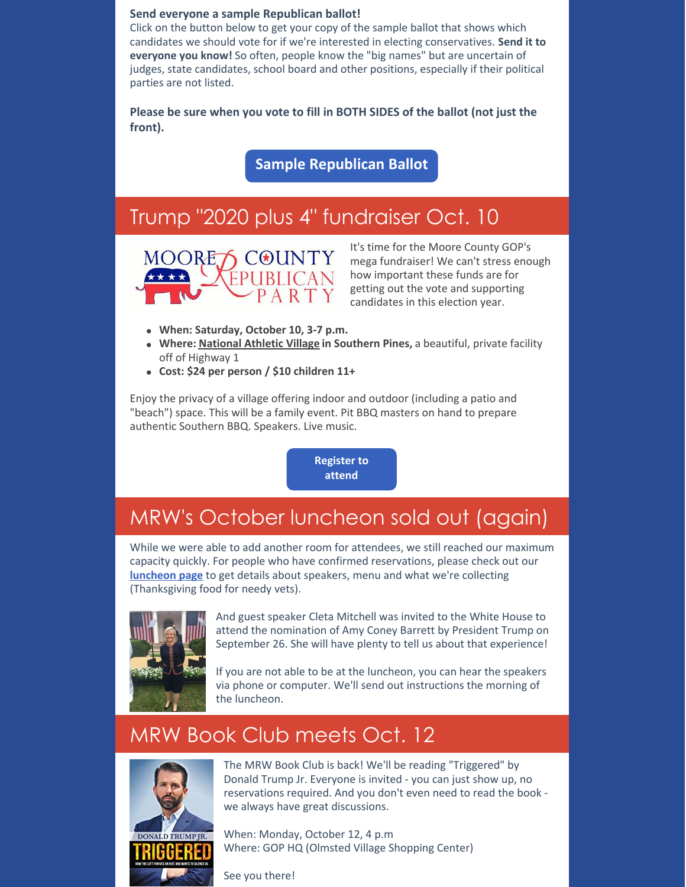#### **Send everyone a sample Republican ballot!**

Click on the button below to get your copy of the sample ballot that shows which candidates we should vote for if we're interested in electing conservatives. **Send it to everyone you know!** So often, people know the "big names" but are uncertain of judges, state candidates, school board and other positions, especially if their political parties are not listed.

**Please be sure when you vote to fill in BOTH SIDES of the ballot (not just the front).**

**Sample [Republican](https://files.constantcontact.com/30571cb6701/26b6e460-f5be-42f0-b9bf-0474a6561060.pdf) Ballot**

## Trump "2020 plus 4" fundraiser Oct. 10



It's time for the Moore County GOP's mega fundraiser! We can't stress enough how important these funds are for getting out the vote and supporting candidates in this election year.

- **When: Saturday, October 10, 3-7 p.m.**
- **Where: [National](http://r20.rs6.net/tn.jsp?f=001RR9RhRD-oidBUejRRZOKOEwzy1Daad7bYFIUXnWEpm9yCKq0MGRdOJkQNsiaRtX3iij_KFKbI3aWumRZ3vIdoCkqBkHQAQpG1bPZ1d3ytPHIKteHFP8YeU1q1FHDBEq8pCzxxRx2UvEwmDS31k8th8_uFbXUbPoIK4o6KtCJLa8=&c=adaiRGrxxKE5EPaempszgUDNPfj7K9cIcJGuIeHgTwAGnc93GnA6XA==&ch=DEWOKx22xrihIeCGH8ixwhYwlrbmDUjUDWbQYhu4ntp_Lww3HNzwGw==) Athletic Village in Southern Pines,** a beautiful, private facility off of Highway 1
- **Cost: \$24 per person / \$10 children 11+**

Enjoy the privacy of a village offering indoor and outdoor (including a patio and "beach") space. This will be a family event. Pit BBQ masters on hand to prepare authentic Southern BBQ. Speakers. Live music.

> **[Register](https://mcgopnc.wufoo.com/forms/so63lka1a7smti/) to attend**

# MRW's October luncheon sold out (again)

While we were able to add another room for attendees, we still reached our maximum capacity quickly. For people who have confirmed reservations, please check out our **[luncheon](https://www.mrwnc.org/monthly-luncheon) page** to get details about speakers, menu and what we're collecting (Thanksgiving food for needy vets).



And guest speaker Cleta Mitchell was invited to the White House to attend the nomination of Amy Coney Barrett by President Trump on September 26. She will have plenty to tell us about that experience!

If you are not able to be at the luncheon, you can hear the speakers via phone or computer. We'll send out instructions the morning of the luncheon.

# MRW Book Club meets Oct. 12



The MRW Book Club is back! We'll be reading "Triggered" by Donald Trump Jr. Everyone is invited - you can just show up, no reservations required. And you don't even need to read the book we always have great discussions.

When: Monday, October 12, 4 p.m Where: GOP HQ (Olmsted Village Shopping Center)

See you there!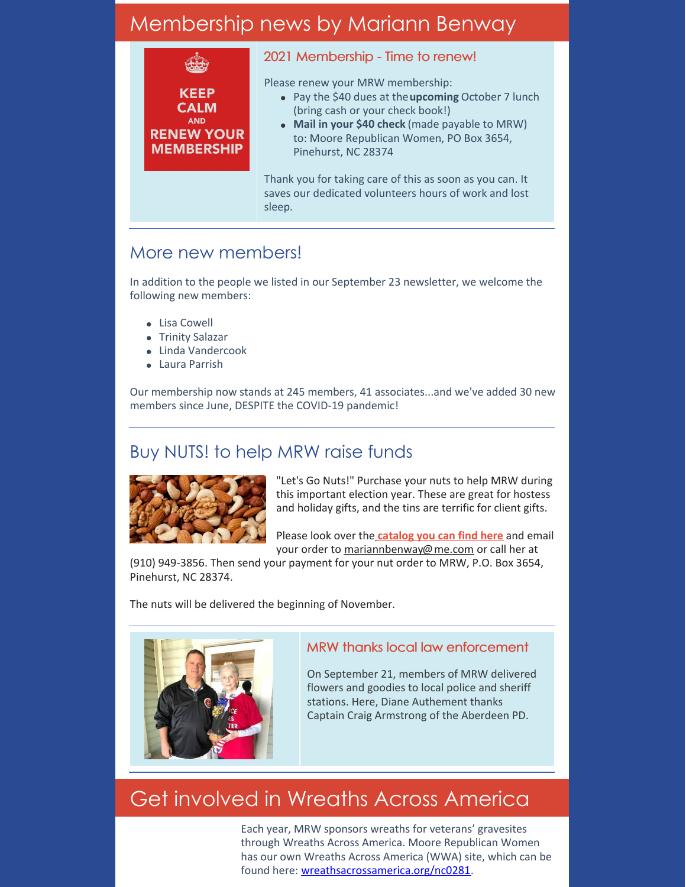# Membership news by Mariann Benway

**KEEP CALM AND RENEW YOUR MEMBERSHIP** 

#### 2021 Membership - Time to renew!

Please renew your MRW membership:

- Pay the \$40 dues at the**upcoming** October 7 lunch (bring cash or your check book!)
- **Mail in your \$40 check** (made payable to MRW) to: Moore Republican Women, PO Box 3654, Pinehurst, NC 28374

Thank you for taking care of this as soon as you can. It saves our dedicated volunteers hours of work and lost sleep.

## More new members!

In addition to the people we listed in our September 23 newsletter, we welcome the following new members:

- Lisa Cowell
- Trinity Salazar
- Linda Vandercook
- Laura Parrish

Our membership now stands at 245 members, 41 associates...and we've added 30 new members since June, DESPITE the COVID-19 pandemic!

## Buy NUTS! to help MRW raise funds



"Let's Go Nuts!" Purchase your nuts to help MRW during this important election year. These are great for hostess and holiday gifts, and the tins are terrific for client gifts.

Please look over th[e](https://files.constantcontact.com/30571cb6701/0d542b89-dfa3-4723-b387-30f27fa4b5e1.pdf) **[catalog](https://files.constantcontact.com/30571cb6701/0d542b89-dfa3-4723-b387-30f27fa4b5e1.pdf) you can find here** and email your order to [mariannbenway@me.com](mailto:mariannbenway@me.com) or call her at

(910) 949-3856. Then send your payment for your nut order to MRW, P.O. Box 3654, Pinehurst, NC 28374.

The nuts will be delivered the beginning of November.



#### MRW thanks local law enforcement

On September 21, members of MRW delivered flowers and goodies to local police and sheriff stations. Here, Diane Authement thanks Captain Craig Armstrong of the Aberdeen PD.

# Get involved in Wreaths Across America

Each year, MRW sponsors wreaths for veterans' gravesites through Wreaths Across America. Moore Republican Women has our own Wreaths Across America (WWA) site, which can be found here: [wreathsacrossamerica.org/nc0281](http://wreathsacrossamerica.org/nc0281).